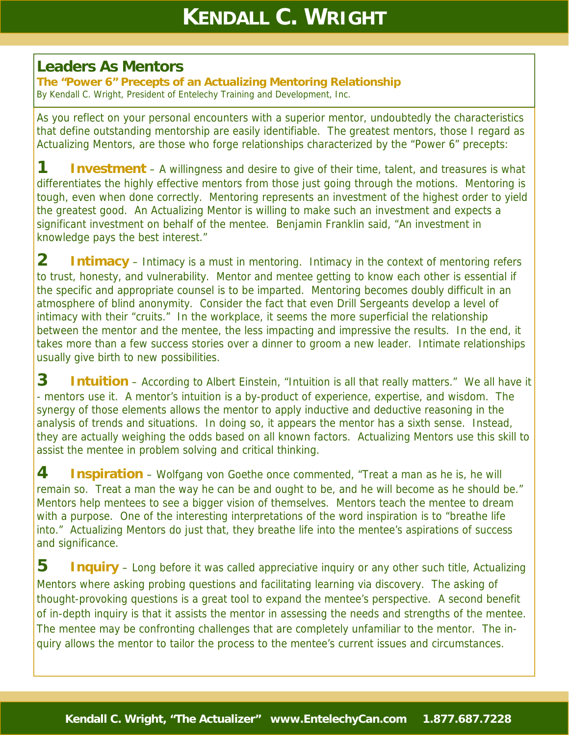## **Leaders As Mentors**

**The "Power 6" Precepts of an Actualizing Mentoring Relationship**  By Kendall C. Wright, President of Entelechy Training and Development, Inc.

As you reflect on your personal encounters with a superior mentor, undoubtedly the characteristics that define outstanding mentorship are easily identifiable. The greatest mentors, those I regard as Actualizing Mentors, are those who forge relationships characterized by the "Power 6" precepts:

**1 Investment** – A willingness and desire to give of their time, talent, and treasures is what differentiates the highly effective mentors from those just going through the motions. Mentoring is tough, even when done correctly. Mentoring represents an investment of the highest order to yield the greatest good. An Actualizing Mentor is willing to make such an investment and expects a significant investment on behalf of the mentee. Benjamin Franklin said, "An investment in knowledge pays the best interest."

**2 Intimacy** – Intimacy is a must in mentoring. Intimacy in the context of mentoring refers to trust, honesty, and vulnerability. Mentor and mentee getting to know each other is essential if the specific and appropriate counsel is to be imparted. Mentoring becomes doubly difficult in an atmosphere of blind anonymity. Consider the fact that even Drill Sergeants develop a level of intimacy with their "cruits." In the workplace, it seems the more superficial the relationship between the mentor and the mentee, the less impacting and impressive the results. In the end, it takes more than a few success stories over a dinner to groom a new leader. Intimate relationships usually give birth to new possibilities.

**3 Intuition** – According to Albert Einstein, "Intuition is all that really matters." We all have it - mentors use it. A mentor's intuition is a by-product of experience, expertise, and wisdom. The synergy of those elements allows the mentor to apply inductive and deductive reasoning in the analysis of trends and situations. In doing so, it appears the mentor has a sixth sense. Instead, they are actually weighing the odds based on all known factors. Actualizing Mentors use this skill to assist the mentee in problem solving and critical thinking.

**4 Inspiration** – Wolfgang von Goethe once commented, "Treat a man as he is, he will remain so. Treat a man the way he can be and ought to be, and he will become as he should be." Mentors help mentees to see a bigger vision of themselves. Mentors teach the mentee to dream with a purpose. One of the interesting interpretations of the word inspiration is to "breathe life into." Actualizing Mentors do just that, they breathe life into the mentee's aspirations of success and significance.

**5 Inquiry** – Long before it was called appreciative inquiry or any other such title, Actualizing Mentors where asking probing questions and facilitating learning via discovery. The asking of thought-provoking questions is a great tool to expand the mentee's perspective. A second benefit of in-depth inquiry is that it assists the mentor in assessing the needs and strengths of the mentee. The mentee may be confronting challenges that are completely unfamiliar to the mentor. The inquiry allows the mentor to tailor the process to the mentee's current issues and circumstances.